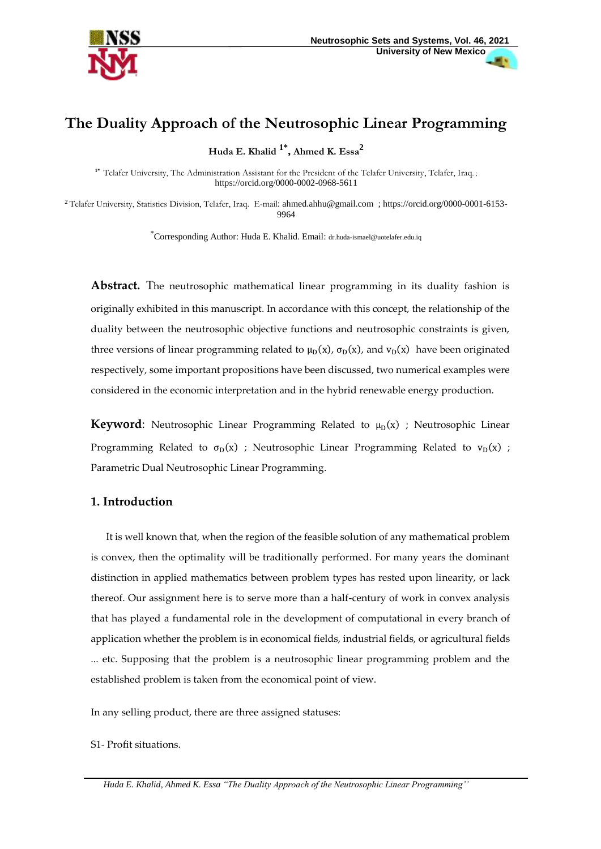

# **The Duality Approach of the Neutrosophic Linear Programming**

**Huda E. Khalid 1\* , Ahmed K. Essa<sup>2</sup>**

**1\*** Telafer University, The Administration Assistant for the President of the Telafer University, Telafer, Iraq. ; <https://orcid.org/0000-0002-0968-5611>

<sup>2</sup> Telafer University, Statistics Division, Telafer, Iraq. E-mail: [ahmed.ahhu@gmail.com](mailto:ahmed.ahhu@gmail.com) ; [https://orcid.org/0000-0001-6153-](https://orcid.org/0000-0001-6153-9964) [9964](https://orcid.org/0000-0001-6153-9964)

\*Corresponding Author: Huda E. Khalid. Email: [dr.huda-ismael@uotelafer.edu.iq](mailto:dr.huda-ismael@uotelafer.edu.iq)

**Abstract.** The neutrosophic mathematical linear programming in its duality fashion is originally exhibited in this manuscript. In accordance with this concept, the relationship of the duality between the neutrosophic objective functions and neutrosophic constraints is given, three versions of linear programming related to  $\mu_D(x)$ ,  $\sigma_D(x)$ , and  $v_D(x)$  have been originated respectively, some important propositions have been discussed, two numerical examples were considered in the economic interpretation and in the hybrid renewable energy production.

**Keyword**: Neutrosophic Linear Programming Related to  $\mu_D(x)$  ; Neutrosophic Linear Programming Related to  $\sigma_D(x)$  ; Neutrosophic Linear Programming Related to  $v_D(x)$  ; Parametric Dual Neutrosophic Linear Programming.

# **1. Introduction**

 It is well known that, when the region of the feasible solution of any mathematical problem is convex, then the optimality will be traditionally performed. For many years the dominant distinction in applied mathematics between problem types has rested upon linearity, or lack thereof. Our assignment here is to serve more than a half-century of work in convex analysis that has played a fundamental role in the development of computational in every branch of application whether the problem is in economical fields, industrial fields, or agricultural fields ... etc. Supposing that the problem is a neutrosophic linear programming problem and the established problem is taken from the economical point of view.

In any selling product, there are three assigned statuses:

S1- Profit situations.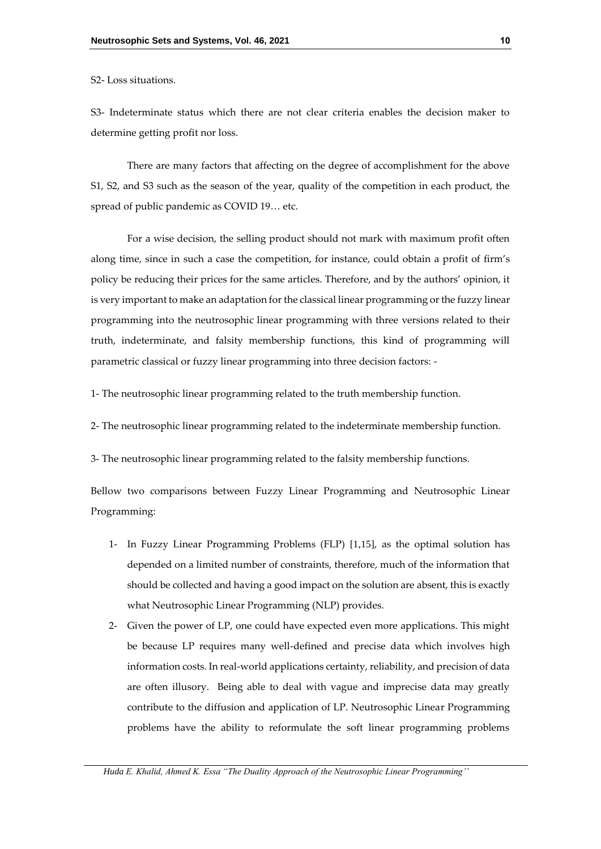S2- Loss situations.

S3- Indeterminate status which there are not clear criteria enables the decision maker to determine getting profit nor loss.

There are many factors that affecting on the degree of accomplishment for the above S1, S2, and S3 such as the season of the year, quality of the competition in each product, the spread of public pandemic as COVID 19… etc.

For a wise decision, the selling product should not mark with maximum profit often along time, since in such a case the competition, for instance, could obtain a profit of firm's policy be reducing their prices for the same articles. Therefore, and by the authors' opinion, it is very important to make an adaptation for the classical linear programming or the fuzzy linear programming into the neutrosophic linear programming with three versions related to their truth, indeterminate, and falsity membership functions, this kind of programming will parametric classical or fuzzy linear programming into three decision factors: -

1- The neutrosophic linear programming related to the truth membership function.

2- The neutrosophic linear programming related to the indeterminate membership function.

3- The neutrosophic linear programming related to the falsity membership functions.

Bellow two comparisons between Fuzzy Linear Programming and Neutrosophic Linear Programming:

- 1- In Fuzzy Linear Programming Problems (FLP) [1,15], as the optimal solution has depended on a limited number of constraints, therefore, much of the information that should be collected and having a good impact on the solution are absent, this is exactly what Neutrosophic Linear Programming (NLP) provides.
- 2- Given the power of LP, one could have expected even more applications. This might be because LP requires many well-defined and precise data which involves high information costs. In real-world applications certainty, reliability, and precision of data are often illusory. Being able to deal with vague and imprecise data may greatly contribute to the diffusion and application of LP. Neutrosophic Linear Programming problems have the ability to reformulate the soft linear programming problems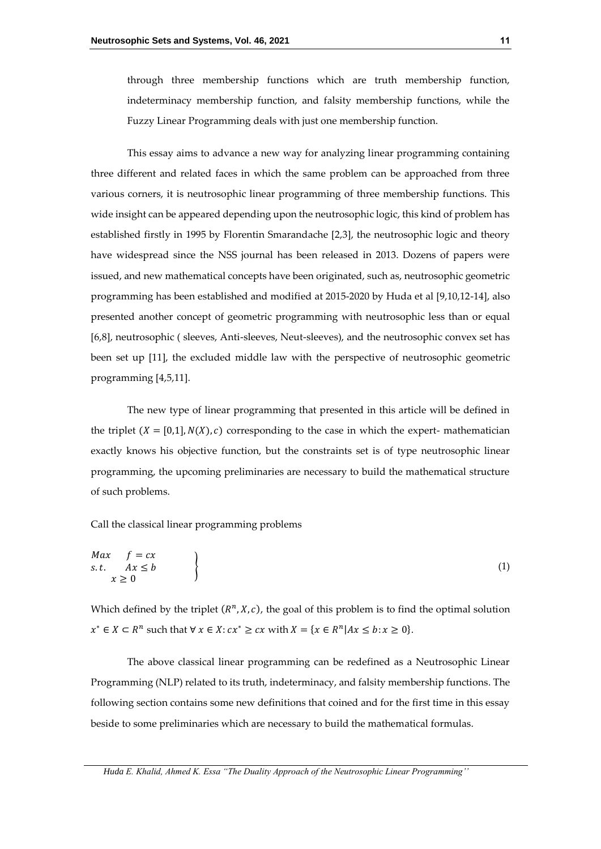through three membership functions which are truth membership function, indeterminacy membership function, and falsity membership functions, while the Fuzzy Linear Programming deals with just one membership function.

This essay aims to advance a new way for analyzing linear programming containing three different and related faces in which the same problem can be approached from three various corners, it is neutrosophic linear programming of three membership functions. This wide insight can be appeared depending upon the neutrosophic logic, this kind of problem has established firstly in 1995 by Florentin Smarandache [2,3], the neutrosophic logic and theory have widespread since the NSS journal has been released in 2013. Dozens of papers were issued, and new mathematical concepts have been originated, such as, neutrosophic geometric programming has been established and modified at 2015-2020 by Huda et al [9,10,12-14], also presented another concept of geometric programming with neutrosophic less than or equal [6,8], neutrosophic ( sleeves, Anti-sleeves, Neut-sleeves), and the neutrosophic convex set has been set up [11], the excluded middle law with the perspective of neutrosophic geometric programming [4,5,11].

The new type of linear programming that presented in this article will be defined in the triplet  $(X = [0,1], N(X), c)$  corresponding to the case in which the expert- mathematician exactly knows his objective function, but the constraints set is of type neutrosophic linear programming, the upcoming preliminaries are necessary to build the mathematical structure of such problems.

Call the classical linear programming problems

$$
\begin{array}{ccc}\nMax & f = cx \\
s.t. & Ax \leq b \\
x \geq 0\n\end{array}
$$
\n(1)

Which defined by the triplet  $(R^n, X, c)$ , the goal of this problem is to find the optimal solution  $x^* \in X \subset R^n$  such that  $\forall x \in X : cx^* \geq cx$  with  $X = \{x \in R^n | Ax \leq b : x \geq 0\}.$ 

The above classical linear programming can be redefined as a Neutrosophic Linear Programming (NLP) related to its truth, indeterminacy, and falsity membership functions. The following section contains some new definitions that coined and for the first time in this essay beside to some preliminaries which are necessary to build the mathematical formulas.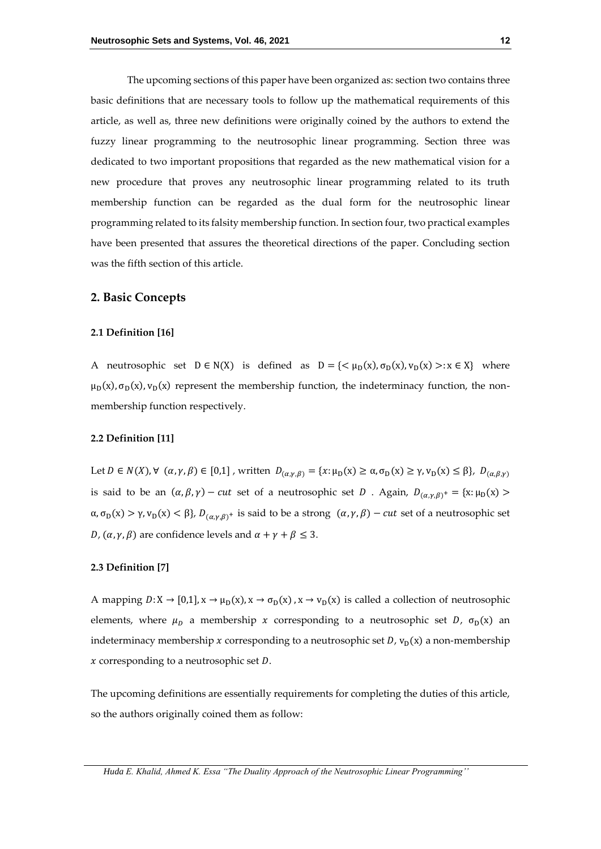The upcoming sections of this paper have been organized as: section two contains three basic definitions that are necessary tools to follow up the mathematical requirements of this article, as well as, three new definitions were originally coined by the authors to extend the fuzzy linear programming to the neutrosophic linear programming. Section three was dedicated to two important propositions that regarded as the new mathematical vision for a new procedure that proves any neutrosophic linear programming related to its truth membership function can be regarded as the dual form for the neutrosophic linear programming related to its falsity membership function. In section four, two practical examples have been presented that assures the theoretical directions of the paper. Concluding section was the fifth section of this article.

### **2. Basic Concepts**

#### **2.1 Definition [16]**

A neutrosophic set  $D \in N(X)$  is defined as  $D = \{ \langle \mu_D(x), \sigma_D(x), \nu_D(x) \rangle : x \in X \}$  where  $\mu_D(x)$ ,  $\sigma_D(x)$ ,  $\nu_D(x)$  represent the membership function, the indeterminacy function, the nonmembership function respectively.

#### **2.2 Definition [11]**

Let  $D \in N(X)$ ,  $\forall (\alpha, \gamma, \beta) \in [0,1]$ , written  $D_{(\alpha,\gamma,\beta)} = \{x : \mu_D(x) \ge \alpha, \sigma_D(x) \ge \gamma, v_D(x) \le \beta\}$ ,  $D_{(\alpha,\beta,\gamma)}$ is said to be an  $(\alpha, \beta, \gamma)$  – cut set of a neutrosophic set D. Again,  $D_{(\alpha, \gamma, \beta)}$  + = {x:  $\mu_D(x)$  >  $\alpha, \sigma_D(x) > \gamma, v_D(x) < \beta$ ,  $D_{(\alpha, \gamma, \beta)^+}$  is said to be a strong  $(\alpha, \gamma, \beta) - cut$  set of a neutrosophic set *D*,  $(\alpha, \gamma, \beta)$  are confidence levels and  $\alpha + \gamma + \beta \leq 3$ .

#### **2.3 Definition [7]**

A mapping  $D: X \to [0,1], x \to \mu_D(x), x \to \sigma_D(x), x \to \nu_D(x)$  is called a collection of neutrosophic elements, where  $\mu$ <sub>D</sub> a membership x corresponding to a neutrosophic set D,  $\sigma$ <sub>D</sub>(x) an indeterminacy membership x corresponding to a neutrosophic set  $D$ ,  $v_D(x)$  a non-membership  $x$  corresponding to a neutrosophic set  $D$ .

The upcoming definitions are essentially requirements for completing the duties of this article, so the authors originally coined them as follow: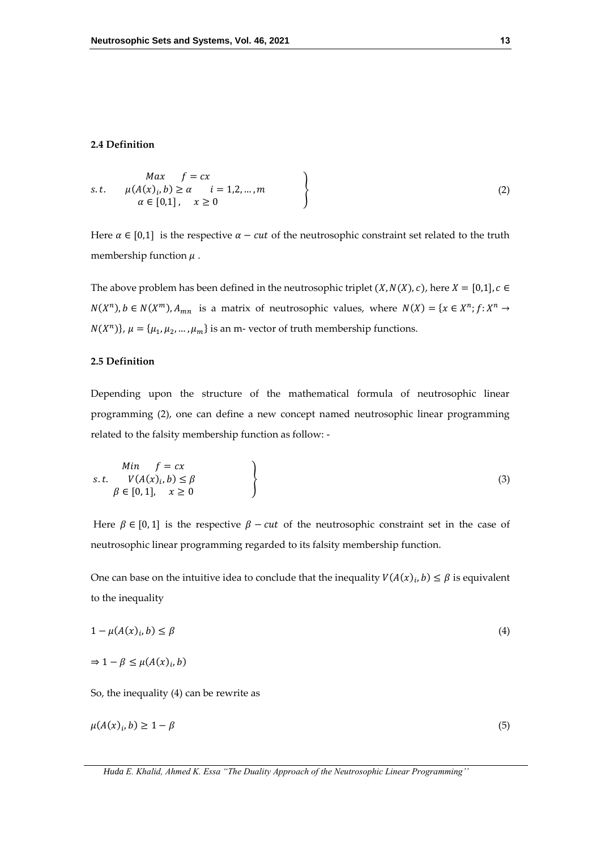### **2.4 Definition**

$$
Max \quad f = cx
$$
  
s.t.  $\mu(A(x)_i, b) \ge \alpha \quad i = 1, 2, ..., m$   
 $\alpha \in [0,1], \quad x \ge 0$  (2)

Here  $\alpha \in [0,1]$  is the respective  $\alpha - cut$  of the neutrosophic constraint set related to the truth membership function  $\mu$ .

The above problem has been defined in the neutrosophic triplet  $(X, N(X), c)$ , here  $X = [0,1]$ ,  $c \in$  $N(X^n)$ ,  $b \in N(X^m)$ ,  $A_{mn}$  is a matrix of neutrosophic values, where  $N(X) = \{x \in X^n; f: X^n \to X^n\}$  $N(X^n)$ ,  $\mu = {\mu_1, \mu_2, ..., \mu_m}$  is an m- vector of truth membership functions.

## **2.5 Definition**

Depending upon the structure of the mathematical formula of neutrosophic linear programming (2), one can define a new concept named neutrosophic linear programming related to the falsity membership function as follow: -

$$
Min \quad f = cx
$$
  
s.t.  $V(A(x)_i, b) \le \beta$   
 $\beta \in [0, 1], \quad x \ge 0$  (3)

Here  $\beta \in [0,1]$  is the respective  $\beta - cut$  of the neutrosophic constraint set in the case of neutrosophic linear programming regarded to its falsity membership function.

One can base on the intuitive idea to conclude that the inequality  $V(A(x)_i, b) \leq \beta$  is equivalent to the inequality

$$
1 - \mu(A(x)_i, b) \le \beta \tag{4}
$$

$$
\Rightarrow 1 - \beta \le \mu(A(x)_i, b)
$$

So, the inequality (4) can be rewrite as

$$
\mu(A(x)_i, b) \ge 1 - \beta \tag{5}
$$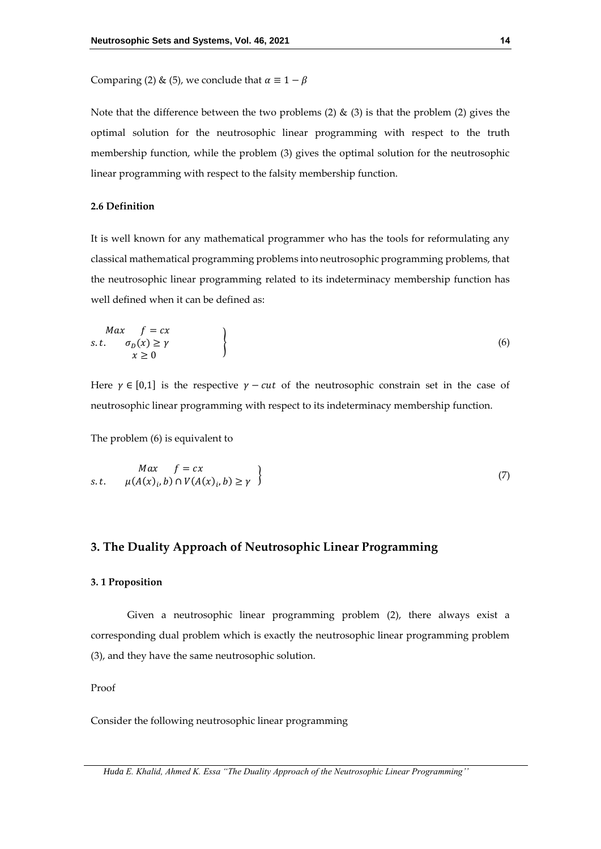Comparing (2) & (5), we conclude that  $\alpha \equiv 1 - \beta$ 

Note that the difference between the two problems (2)  $\&$  (3) is that the problem (2) gives the optimal solution for the neutrosophic linear programming with respect to the truth membership function, while the problem (3) gives the optimal solution for the neutrosophic linear programming with respect to the falsity membership function.

### **2.6 Definition**

It is well known for any mathematical programmer who has the tools for reformulating any classical mathematical programming problems into neutrosophic programming problems, that the neutrosophic linear programming related to its indeterminacy membership function has well defined when it can be defined as:

$$
\begin{cases}\nMax \quad f = cx \\
S.t. \quad \sigma_D(x) \ge \gamma \\
x \ge 0\n\end{cases}
$$
\n(6)

Here  $\gamma \in [0,1]$  is the respective  $\gamma - cut$  of the neutrosophic constrain set in the case of neutrosophic linear programming with respect to its indeterminacy membership function.

The problem (6) is equivalent to

$$
Max \quad f = cx
$$
  
s.t.  $\mu(A(x)_i, b) \cap V(A(x)_i, b) \ge \gamma$  (7)

## **3. The Duality Approach of Neutrosophic Linear Programming**

#### **3. 1 Proposition**

Given a neutrosophic linear programming problem (2), there always exist a corresponding dual problem which is exactly the neutrosophic linear programming problem (3), and they have the same neutrosophic solution.

Proof

Consider the following neutrosophic linear programming

*Huda E. Khalid, Ahmed K. Essa "The Duality Approach of the Neutrosophic Linear Programming''*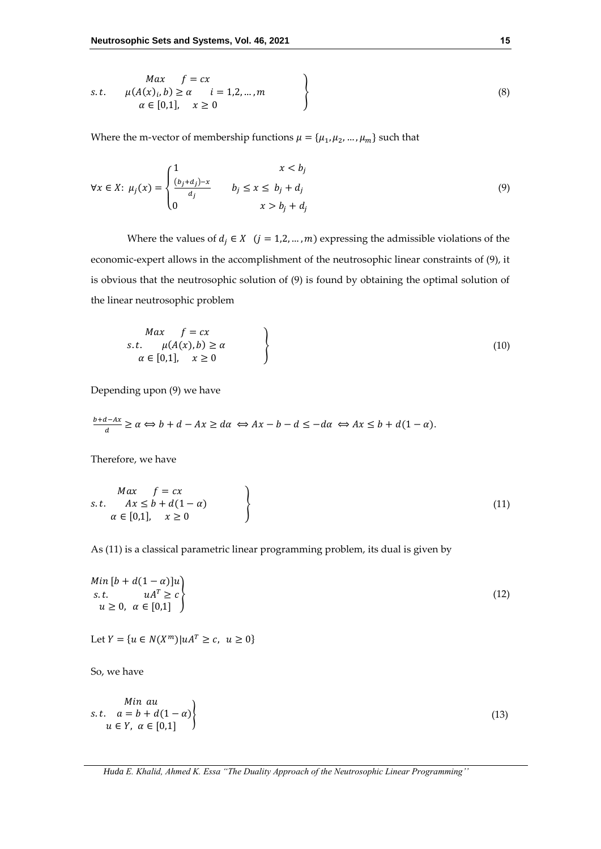$$
Max \quad f = cx
$$
  
s.t.  $\mu(A(x)_i, b) \ge \alpha \quad i = 1, 2, ..., m$   
 $\alpha \in [0, 1], \quad x \ge 0$  (8)

Where the m-vector of membership functions  $\mu = {\mu_1, \mu_2, ..., \mu_m}$  such that

$$
\forall x \in X: \mu_j(x) = \begin{cases} \frac{1}{\left(b_j + d_j\right) - x} & \text{if } j \le x \le b_j + d_j \\ 0 & \text{if } x > b_j + d_j \end{cases} \tag{9}
$$

Where the values of  $d_j \in X$   $(j = 1, 2, ..., m)$  expressing the admissible violations of the economic-expert allows in the accomplishment of the neutrosophic linear constraints of (9), it is obvious that the neutrosophic solution of (9) is found by obtaining the optimal solution of the linear neutrosophic problem

$$
\begin{cases}\nMax \quad f = cx \\
s.t. \quad \mu(A(x), b) \ge \alpha \\
\alpha \in [0, 1], \quad x \ge 0\n\end{cases}
$$
\n(10)

Depending upon (9) we have

$$
\frac{b+d-Ax}{d} \ge \alpha \Leftrightarrow b+d-Ax \ge d\alpha \Leftrightarrow Ax-b-d \le -d\alpha \Leftrightarrow Ax \le b+d(1-\alpha).
$$

Therefore, we have

$$
\begin{cases}\nMax \quad f = cx \\
s.t. \quad Ax \leq b + d(1 - \alpha) \\
\alpha \in [0,1], \quad x \geq 0\n\end{cases}
$$
\n(11)

As (11) is a classical parametric linear programming problem, its dual is given by

$$
\begin{aligned}\nMin \left[ b + d(1 - \alpha) \right] u \\
s.t. \quad uA^T \ge c \\
u \ge 0, \ \alpha \in [0,1]\n\end{aligned}
$$
\n(12)

Let 
$$
Y = \{u \in N(X^m) | uA^T \ge c, u \ge 0\}
$$

So, we have

$$
s.t. \t a = b + d(1 - \alpha) u \in Y, \t \alpha \in [0,1]
$$
 (13)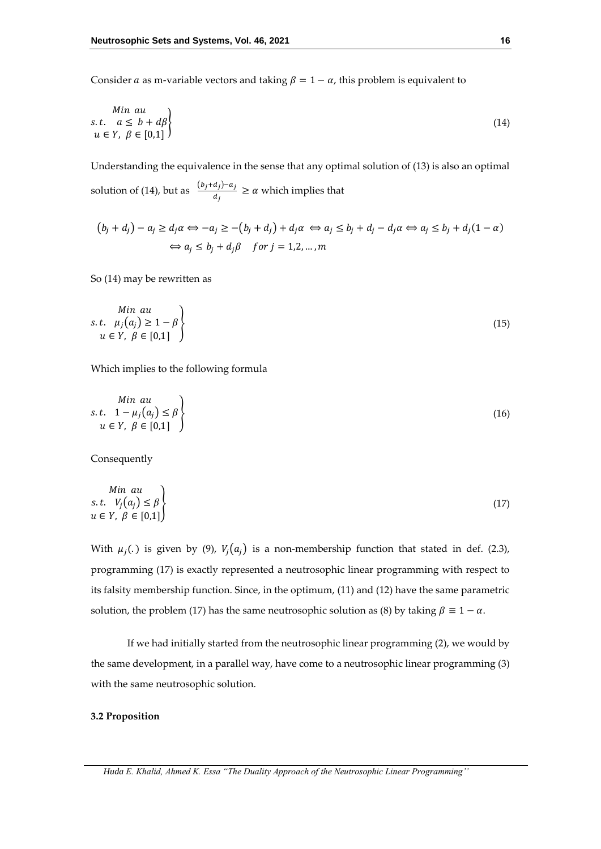Consider *a* as m-variable vectors and taking  $\beta = 1 - \alpha$ , this problem is equivalent to

$$
\begin{array}{ll}\nMin \ au \\
s.t. \ a \leq b + d\beta \\
u \in Y, \ \beta \in [0,1]\n\end{array} \tag{14}
$$

Understanding the equivalence in the sense that any optimal solution of (13) is also an optimal

solution of (14), but as  $\frac{(b_j+d_j)-a_j}{d_j}$  $\frac{a_{jj}a_j}{a_j} \ge \alpha$  which implies that

$$
(b_j + d_j) - a_j \ge d_j \alpha \Leftrightarrow -a_j \ge -(b_j + d_j) + d_j \alpha \Leftrightarrow a_j \le b_j + d_j - d_j \alpha \Leftrightarrow a_j \le b_j + d_j (1 - \alpha)
$$
  

$$
\Leftrightarrow a_j \le b_j + d_j \beta \quad \text{for } j = 1, 2, ..., m
$$

So (14) may be rewritten as

$$
min \ au
$$
  
s.t.  $\mu_j(a_j) \ge 1 - \beta$   
 $u \in Y, \ \beta \in [0,1]$  (15)

Which implies to the following formula

$$
s.t. \quad 1 - \mu_j(a_j) \le \beta
$$
  
\n
$$
u \in Y, \ \beta \in [0,1]
$$
\n(16)

Consequently

Min au  
s.t. 
$$
V_j(a_j) \le \beta
$$
  
u \in Y,  $\beta \in [0,1]$  (17)

With  $\mu_j(.)$  is given by (9),  $V_j(a_j)$  is a non-membership function that stated in def. (2.3), programming (17) is exactly represented a neutrosophic linear programming with respect to its falsity membership function. Since, in the optimum, (11) and (12) have the same parametric solution, the problem (17) has the same neutrosophic solution as (8) by taking  $\beta \equiv 1 - \alpha$ .

If we had initially started from the neutrosophic linear programming (2), we would by the same development, in a parallel way, have come to a neutrosophic linear programming (3) with the same neutrosophic solution.

### **3.2 Proposition**

*Huda E. Khalid, Ahmed K. Essa "The Duality Approach of the Neutrosophic Linear Programming''*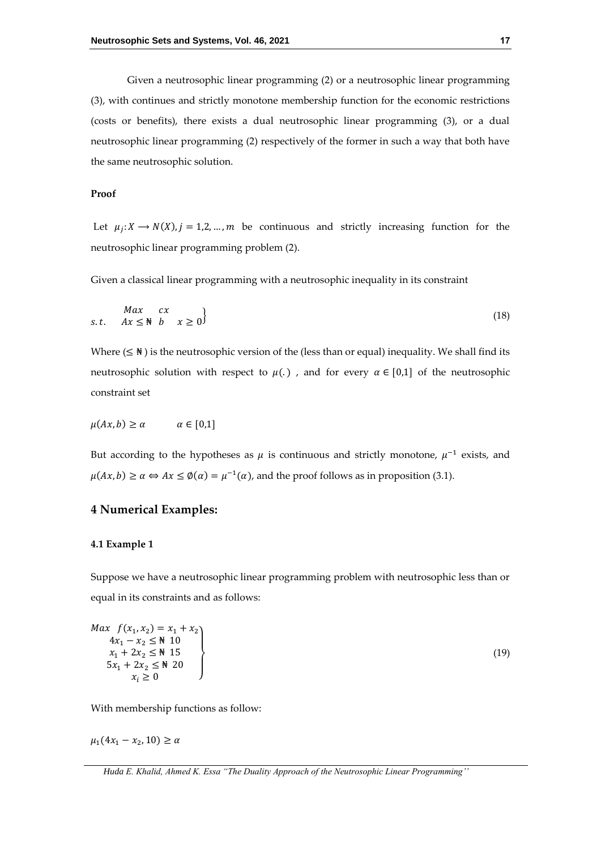Given a neutrosophic linear programming (2) or a neutrosophic linear programming (3), with continues and strictly monotone membership function for the economic restrictions (costs or benefits), there exists a dual neutrosophic linear programming (3), or a dual neutrosophic linear programming (2) respectively of the former in such a way that both have the same neutrosophic solution.

### **Proof**

Let  $\mu_j: X \to N(X)$ ,  $j = 1, 2, ..., m$  be continuous and strictly increasing function for the neutrosophic linear programming problem (2).

Given a classical linear programming with a neutrosophic inequality in its constraint

$$
\begin{array}{ll}\nMax & cx \\
s.t. & Ax \leq \mathbb{N} \quad b \quad x \geq 0\n\end{array} \tag{18}
$$

Where ( $\leq \mathbb{N}$ ) is the neutrosophic version of the (less than or equal) inequality. We shall find its neutrosophic solution with respect to  $\mu$ . and for every  $\alpha \in [0,1]$  of the neutrosophic constraint set

$$
\mu(Ax, b) \ge \alpha \qquad \alpha \in [0,1]
$$

But according to the hypotheses as  $\mu$  is continuous and strictly monotone,  $\mu^{-1}$  exists, and  $\mu(Ax, b) \ge \alpha \Leftrightarrow Ax \le \emptyset(\alpha) = \mu^{-1}(\alpha)$ , and the proof follows as in proposition (3.1).

### **4 Numerical Examples:**

### **4.1 Example 1**

Suppose we have a neutrosophic linear programming problem with neutrosophic less than or equal in its constraints and as follows:

$$
\begin{array}{c}\n\text{Max } f(x_1, x_2) = x_1 + x_2 \\
4x_1 - x_2 \le \frac{1}{N} 10 \\
x_1 + 2x_2 \le \frac{1}{N} 15 \\
5x_1 + 2x_2 \le \frac{1}{N} 20 \\
x_i \ge 0\n\end{array}
$$
\n(19)

With membership functions as follow:

 $\mu_1(4x_1 - x_2, 10) \ge \alpha$ 

*Huda E. Khalid, Ahmed K. Essa "The Duality Approach of the Neutrosophic Linear Programming''*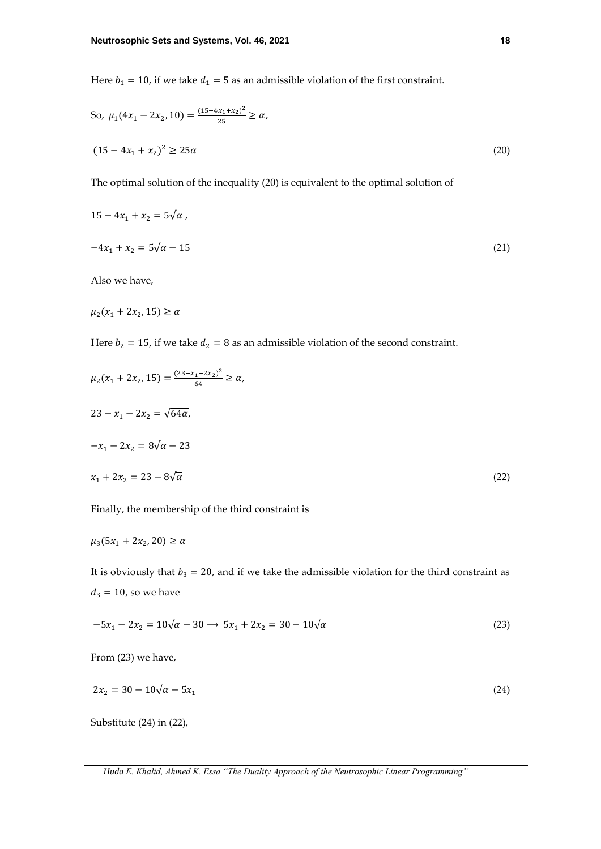Here  $b_1 = 10$ , if we take  $d_1 = 5$  as an admissible violation of the first constraint.

So, 
$$
\mu_1(4x_1 - 2x_2, 10) = \frac{(15 - 4x_1 + x_2)^2}{25} \ge \alpha,
$$
  
\n $(15 - 4x_1 + x_2)^2 \ge 25\alpha$  (20)

The optimal solution of the inequality (20) is equivalent to the optimal solution of

$$
15 - 4x_1 + x_2 = 5\sqrt{\alpha},
$$
  

$$
-4x_1 + x_2 = 5\sqrt{\alpha} - 15
$$
 (21)  
Also we have

Also we have,

$$
\mu_2(x_1 + 2x_2, 15) \ge \alpha
$$

Here  $b_2 = 15$ , if we take  $d_2 = 8$  as an admissible violation of the second constraint.

$$
\mu_2(x_1 + 2x_2, 15) = \frac{(23 - x_1 - 2x_2)^2}{64} \ge \alpha,
$$
  

$$
23 - x_1 - 2x_2 = \sqrt{64\alpha},
$$
  

$$
-x_1 - 2x_2 = 8\sqrt{\alpha} - 23
$$
  

$$
x_1 + 2x_2 = 23 - 8\sqrt{\alpha}
$$
 (22)

Finally, the membership of the third constraint is

$$
\mu_3(5x_1+2x_2,20)\geq \alpha
$$

It is obviously that  $b_3 = 20$ , and if we take the admissible violation for the third constraint as  $d_3 = 10$ , so we have

$$
-5x_1 - 2x_2 = 10\sqrt{\alpha} - 30 \longrightarrow 5x_1 + 2x_2 = 30 - 10\sqrt{\alpha}
$$
\n(23)

From (23) we have,

$$
2x_2 = 30 - 10\sqrt{\alpha} - 5x_1\tag{24}
$$

Substitute (24) in (22),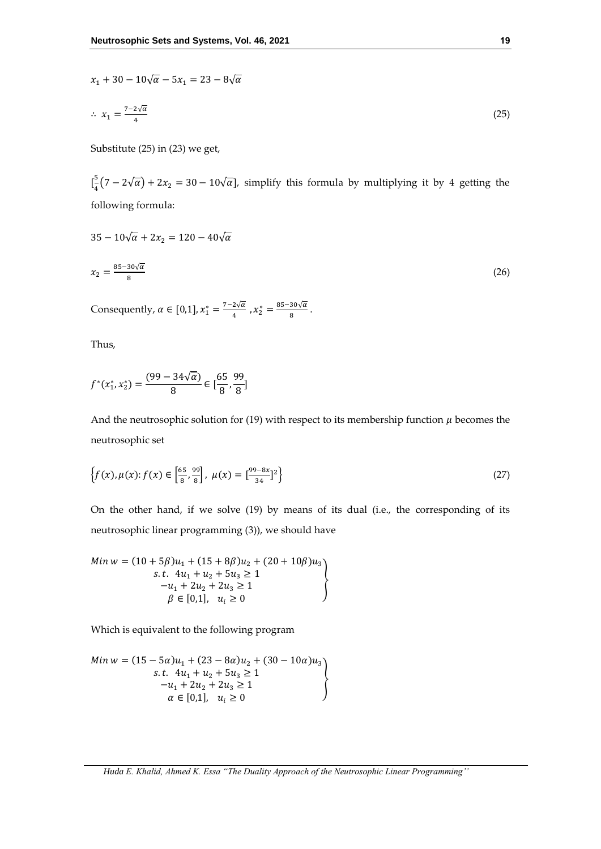$$
x_1 + 30 - 10\sqrt{\alpha} - 5x_1 = 23 - 8\sqrt{\alpha}
$$
  

$$
\therefore x_1 = \frac{7 - 2\sqrt{\alpha}}{4}
$$
 (25)

Substitute (25) in (23) we get,

 $\int_{0}^{5}$  $\frac{3}{4}(7-2\sqrt{\alpha})+2x_2=30-10\sqrt{\alpha}$ , simplify this formula by multiplying it by 4 getting the following formula:

$$
35 - 10\sqrt{\alpha} + 2x_2 = 120 - 40\sqrt{\alpha}
$$
  

$$
x_2 = \frac{85 - 30\sqrt{\alpha}}{8}
$$
 (26)

Consequently,  $\alpha \in [0,1]$ ,  $x_1^* = \frac{7-2\sqrt{\alpha}}{4}$  $\frac{2\sqrt{\alpha}}{4}$  ,  $x_2^* = \frac{85-30\sqrt{\alpha}}{8}$  $\frac{30\sqrt{u}}{8}$ .

Thus,

$$
f^*(x_1^*, x_2^*) = \frac{(99 - 34\sqrt{\alpha})}{8} \in \left[\frac{65}{8}, \frac{99}{8}\right]
$$

And the neutrosophic solution for (19) with respect to its membership function  $\mu$  becomes the neutrosophic set

$$
\left\{f(x), \mu(x): f(x) \in \left[\frac{65}{8}, \frac{99}{8}\right], \ \mu(x) = \left[\frac{99 - 8x}{34}\right]^2\right\}
$$
\n(27)

On the other hand, if we solve (19) by means of its dual (i.e., the corresponding of its neutrosophic linear programming (3)), we should have

$$
Min\ w = (10 + 5\beta)u_1 + (15 + 8\beta)u_2 + (20 + 10\beta)u_3
$$
  
s.t.  $4u_1 + u_2 + 5u_3 \ge 1$   
 $-u_1 + 2u_2 + 2u_3 \ge 1$   
 $\beta \in [0,1], \ u_i \ge 0$ 

Which is equivalent to the following program

$$
Min w = (15 - 5\alpha)u_1 + (23 - 8\alpha)u_2 + (30 - 10\alpha)u_3
$$
  
s.t.  $4u_1 + u_2 + 5u_3 \ge 1$   
 $-u_1 + 2u_2 + 2u_3 \ge 1$   
 $\alpha \in [0,1], u_i \ge 0$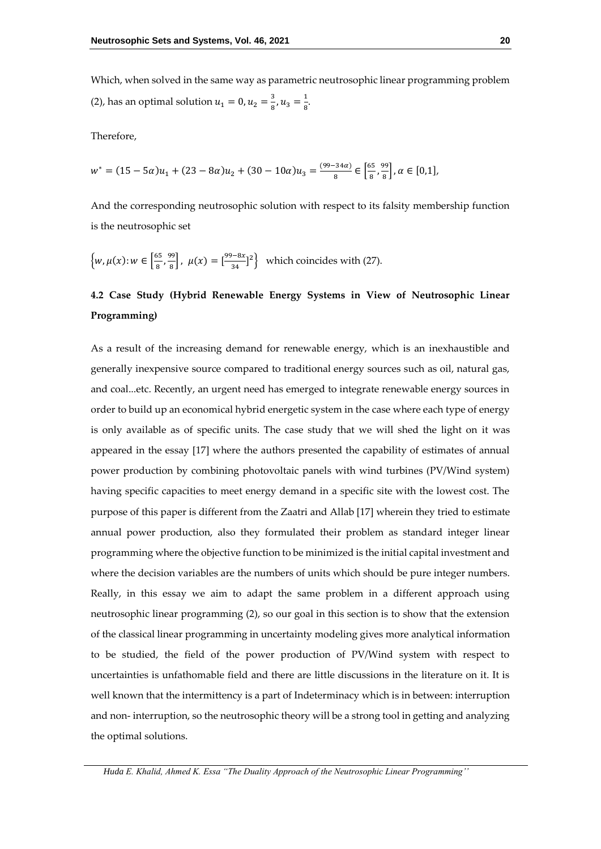Which, when solved in the same way as parametric neutrosophic linear programming problem (2), has an optimal solution  $u_1 = 0, u_2 = \frac{3}{8}$  $\frac{3}{8}$ ,  $u_3 = \frac{1}{8}$  $\frac{1}{8}$ 

Therefore,

$$
w^* = (15 - 5\alpha)u_1 + (23 - 8\alpha)u_2 + (30 - 10\alpha)u_3 = \frac{(99 - 34\alpha)}{8} \in \left[\frac{65}{8}, \frac{99}{8}\right], \alpha \in [0, 1],
$$

And the corresponding neutrosophic solution with respect to its falsity membership function is the neutrosophic set

$$
\left\{ w, \mu(x) \colon w \in \left[\frac{65}{8}, \frac{99}{8}\right], \ \mu(x) = \left[\frac{99 - 8x}{34}\right]^2 \right\} \text{ which coincides with (27).}
$$

# **4.2 Case Study (Hybrid Renewable Energy Systems in View of Neutrosophic Linear Programming)**

As a result of the increasing demand for renewable energy, which is an inexhaustible and generally inexpensive source compared to traditional energy sources such as oil, natural gas, and coal...etc. Recently, an urgent need has emerged to integrate renewable energy sources in order to build up an economical hybrid energetic system in the case where each type of energy is only available as of specific units. The case study that we will shed the light on it was appeared in the essay [17] where the authors presented the capability of estimates of annual power production by combining photovoltaic panels with wind turbines (PV/Wind system) having specific capacities to meet energy demand in a specific site with the lowest cost. The purpose of this paper is different from the Zaatri and Allab [17] wherein they tried to estimate annual power production, also they formulated their problem as standard integer linear programming where the objective function to be minimized is the initial capital investment and where the decision variables are the numbers of units which should be pure integer numbers. Really, in this essay we aim to adapt the same problem in a different approach using neutrosophic linear programming (2), so our goal in this section is to show that the extension of the classical linear programming in uncertainty modeling gives more analytical information to be studied, the field of the power production of PV/Wind system with respect to uncertainties is unfathomable field and there are little discussions in the literature on it. It is well known that the intermittency is a part of Indeterminacy which is in between: interruption and non- interruption, so the neutrosophic theory will be a strong tool in getting and analyzing the optimal solutions.

*Huda E. Khalid, Ahmed K. Essa "The Duality Approach of the Neutrosophic Linear Programming''*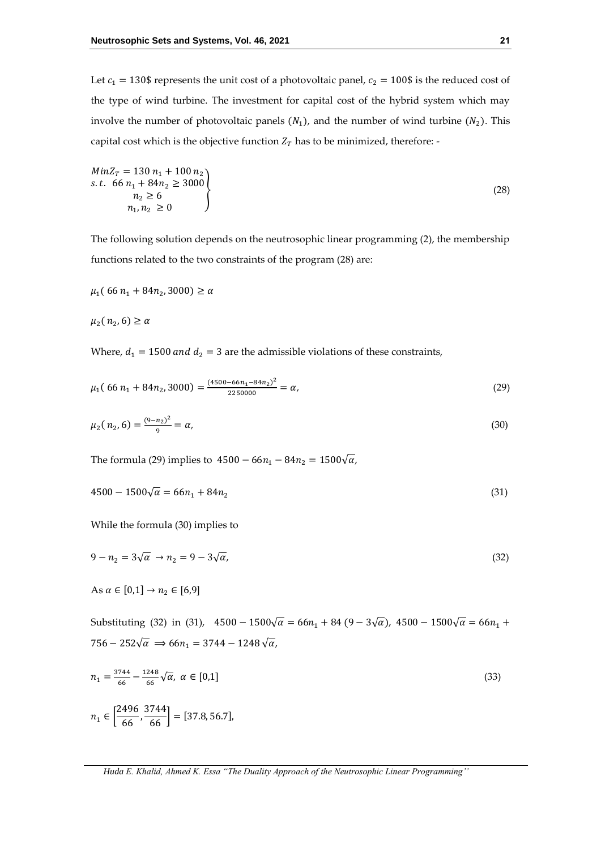Let  $c_1 = 130$ \$ represents the unit cost of a photovoltaic panel,  $c_2 = 100$ \$ is the reduced cost of the type of wind turbine. The investment for capital cost of the hybrid system which may involve the number of photovoltaic panels  $(N_1)$ , and the number of wind turbine  $(N_2)$ . This capital cost which is the objective function  $Z_T$  has to be minimized, therefore: -

$$
MinZT = 130 n1 + 100 n2 \ns.t. 66 n1 + 84n2 \ge 3000 \nn2 \ge 6 \nn1, n2 \ge 0
$$
\n(28)

The following solution depends on the neutrosophic linear programming (2), the membership functions related to the two constraints of the program (28) are:

$$
\mu_1(66\,n_1 + 84n_2, 3000) \ge \alpha
$$

 $\mu_2$ (  $n_2$ , 6)  $\geq \alpha$ 

Where,  $d_1 = 1500$  and  $d_2 = 3$  are the admissible violations of these constraints,

$$
\mu_1(66 n_1 + 84 n_2, 3000) = \frac{(4500 - 66 n_1 - 84 n_2)^2}{2250000} = \alpha,\tag{29}
$$

$$
\mu_2(n_2, 6) = \frac{(9-n_2)^2}{9} = \alpha,\tag{30}
$$

The formula (29) implies to  $4500 - 66n_1 - 84n_2 = 1500\sqrt{\alpha}$ ,

$$
4500 - 1500\sqrt{\alpha} = 66n_1 + 84n_2\tag{31}
$$

While the formula (30) implies to

$$
9 - n_2 = 3\sqrt{\alpha} \rightarrow n_2 = 9 - 3\sqrt{\alpha},\tag{32}
$$

As  $\alpha \in [0,1] \to n_2 \in [6,9]$ 

Substituting (32) in (31),  $4500 - 1500\sqrt{\alpha} = 66n_1 + 84(9 - 3\sqrt{\alpha})$ ,  $4500 - 1500\sqrt{\alpha} = 66n_1 +$ 756 – 252√ $\alpha \Rightarrow 66n_1 = 3744 - 1248 \sqrt{\alpha},$ 

$$
n_1 = \frac{3744}{66} - \frac{1248}{66}\sqrt{\alpha}, \ \alpha \in [0,1]
$$
\n
$$
n_1 \in \left[\frac{2496}{66}, \frac{3744}{66}\right] = [37.8, 56.7],
$$
\n(33)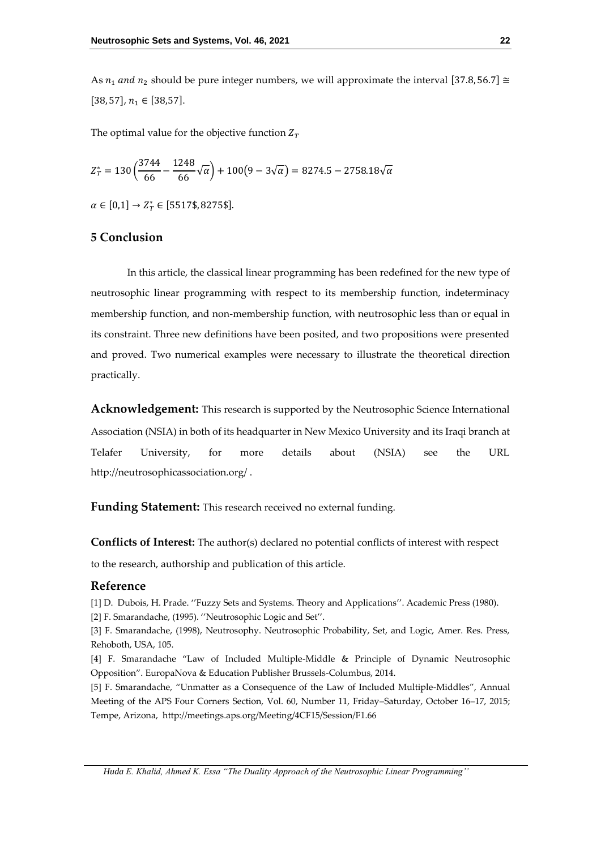As  $n_1$  and  $n_2$  should be pure integer numbers, we will approximate the interval [37.8, 56.7] ≅  $[38, 57], n_1 \in [38, 57].$ 

The optimal value for the objective function  $Z_T$ 

$$
Z_T^* = 130 \left( \frac{3744}{66} - \frac{1248}{66} \sqrt{\alpha} \right) + 100 \left( 9 - 3\sqrt{\alpha} \right) = 8274.5 - 2758.18 \sqrt{\alpha}
$$

 $\alpha \in [0,1] \rightarrow Z_T^* \in [5517\$  \$, 8275\$].

## **5 Conclusion**

In this article, the classical linear programming has been redefined for the new type of neutrosophic linear programming with respect to its membership function, indeterminacy membership function, and non-membership function, with neutrosophic less than or equal in its constraint. Three new definitions have been posited, and two propositions were presented and proved. Two numerical examples were necessary to illustrate the theoretical direction practically.

**Acknowledgement:** This research is supported by the Neutrosophic Science International Association (NSIA) in both of its headquarter in New Mexico University and its Iraqi branch at Telafer University, for more details about (NSIA) see the URL <http://neutrosophicassociation.org/> .

**Funding Statement:** This research received no external funding.

**Conflicts of Interest:** The author(s) declared no potential conflicts of interest with respect

to the research, authorship and publication of this article.

### **Reference**

[1] D. Dubois, H. Prade. ''Fuzzy Sets and Systems. Theory and Applications''. Academic Press (1980). [2] F. Smarandache, (1995). ''Neutrosophic Logic and Set''.

[3] F. Smarandache, (1998), Neutrosophy. Neutrosophic Probability, Set, and Logic, Amer. Res. Press, Rehoboth, USA, 105.

[4] F. Smarandache "Law of Included Multiple-Middle & Principle of Dynamic Neutrosophic Opposition". EuropaNova & Education Publisher Brussels-Columbus, 2014.

[5] F. Smarandache, "[Unmatter as a Consequence of the Law of Included Multiple-Middles](http://fs.unm.edu/APS-Abstracts/MWS_4CF15-2015-000002.pdf)", Annual Meeting of the APS Four Corners Section, Vol. 60, Number 11, Friday–Saturday, October 16–17, 2015; Tempe, Arizona, <http://meetings.aps.org/Meeting/4CF15/Session/F1.66>